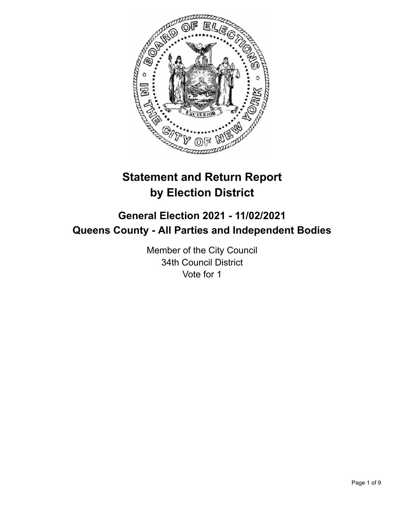

# **Statement and Return Report by Election District**

# **General Election 2021 - 11/02/2021 Queens County - All Parties and Independent Bodies**

Member of the City Council 34th Council District Vote for 1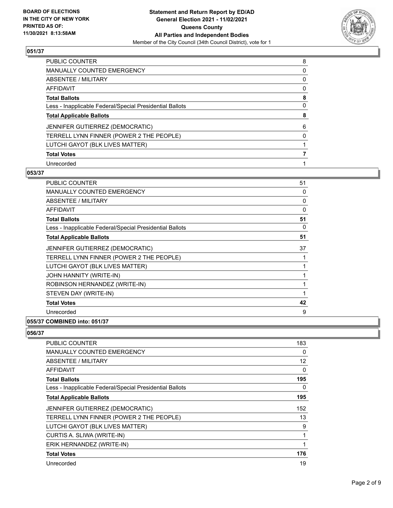

| <b>PUBLIC COUNTER</b>                                    | 8        |
|----------------------------------------------------------|----------|
| <b>MANUALLY COUNTED EMERGENCY</b>                        | 0        |
| <b>ABSENTEE / MILITARY</b>                               | 0        |
| <b>AFFIDAVIT</b>                                         | $\Omega$ |
| <b>Total Ballots</b>                                     | 8        |
| Less - Inapplicable Federal/Special Presidential Ballots | $\Omega$ |
| <b>Total Applicable Ballots</b>                          | 8        |
| JENNIFER GUTIERREZ (DEMOCRATIC)                          | 6        |
| TERRELL LYNN FINNER (POWER 2 THE PEOPLE)                 | $\Omega$ |
| LUTCHI GAYOT (BLK LIVES MATTER)                          |          |
| <b>Total Votes</b>                                       |          |
| Unrecorded                                               |          |

#### **053/37**

| <b>PUBLIC COUNTER</b>                                    | 51 |
|----------------------------------------------------------|----|
| <b>MANUALLY COUNTED EMERGENCY</b>                        | 0  |
| ABSENTEE / MILITARY                                      | 0  |
| <b>AFFIDAVIT</b>                                         | 0  |
| <b>Total Ballots</b>                                     | 51 |
| Less - Inapplicable Federal/Special Presidential Ballots | 0  |
| <b>Total Applicable Ballots</b>                          | 51 |
| JENNIFER GUTIERREZ (DEMOCRATIC)                          | 37 |
| TERRELL LYNN FINNER (POWER 2 THE PEOPLE)                 | 1  |
| LUTCHI GAYOT (BLK LIVES MATTER)                          | 1  |
| JOHN HANNITY (WRITE-IN)                                  | 1  |
| ROBINSON HERNANDEZ (WRITE-IN)                            | 1  |
| STEVEN DAY (WRITE-IN)                                    | 1  |
| <b>Total Votes</b>                                       | 42 |
| Unrecorded                                               | 9  |
|                                                          |    |

# **055/37 COMBINED into: 051/37**

| <b>PUBLIC COUNTER</b>                                    | 183      |
|----------------------------------------------------------|----------|
| <b>MANUALLY COUNTED EMERGENCY</b>                        | $\Omega$ |
| ABSENTEE / MILITARY                                      | 12       |
| AFFIDAVIT                                                | $\Omega$ |
| <b>Total Ballots</b>                                     | 195      |
| Less - Inapplicable Federal/Special Presidential Ballots | 0        |
| <b>Total Applicable Ballots</b>                          | 195      |
| JENNIFER GUTIERREZ (DEMOCRATIC)                          | 152      |
| TERRELL LYNN FINNER (POWER 2 THE PEOPLE)                 | 13       |
| LUTCHI GAYOT (BLK LIVES MATTER)                          | 9        |
| CURTIS A. SLIWA (WRITE-IN)                               | 1        |
| ERIK HERNANDEZ (WRITE-IN)                                |          |
| <b>Total Votes</b>                                       | 176      |
| Unrecorded                                               | 19       |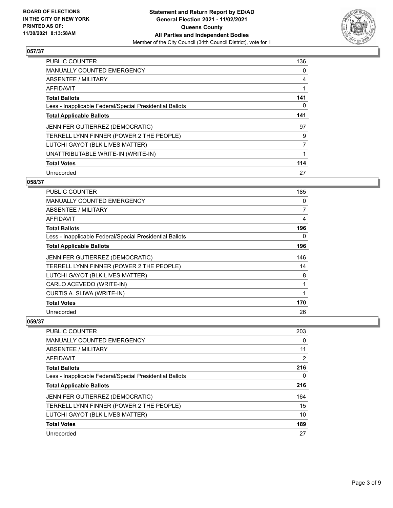

| <b>PUBLIC COUNTER</b>                                    | 136 |
|----------------------------------------------------------|-----|
| <b>MANUALLY COUNTED EMERGENCY</b>                        | 0   |
| ABSENTEE / MILITARY                                      | 4   |
| <b>AFFIDAVIT</b>                                         |     |
| <b>Total Ballots</b>                                     | 141 |
| Less - Inapplicable Federal/Special Presidential Ballots | 0   |
| <b>Total Applicable Ballots</b>                          | 141 |
| JENNIFER GUTIERREZ (DEMOCRATIC)                          | 97  |
| TERRELL LYNN FINNER (POWER 2 THE PEOPLE)                 | 9   |
| LUTCHI GAYOT (BLK LIVES MATTER)                          | 7   |
| UNATTRIBUTABLE WRITE-IN (WRITE-IN)                       |     |
| <b>Total Votes</b>                                       | 114 |
| Unrecorded                                               | 27  |

## **058/37**

| PUBLIC COUNTER                                           | 185 |
|----------------------------------------------------------|-----|
| <b>MANUALLY COUNTED EMERGENCY</b>                        | 0   |
| ABSENTEE / MILITARY                                      | 7   |
| AFFIDAVIT                                                | 4   |
| <b>Total Ballots</b>                                     | 196 |
| Less - Inapplicable Federal/Special Presidential Ballots | 0   |
| <b>Total Applicable Ballots</b>                          | 196 |
| JENNIFER GUTIERREZ (DEMOCRATIC)                          | 146 |
| TERRELL LYNN FINNER (POWER 2 THE PEOPLE)                 | 14  |
| LUTCHI GAYOT (BLK LIVES MATTER)                          | 8   |
| CARLO ACEVEDO (WRITE-IN)                                 | 1   |
| CURTIS A. SLIWA (WRITE-IN)                               | 1   |
| <b>Total Votes</b>                                       | 170 |
| Unrecorded                                               | 26  |

| PUBLIC COUNTER                                           | 203      |
|----------------------------------------------------------|----------|
| <b>MANUALLY COUNTED EMERGENCY</b>                        | $\Omega$ |
| ABSENTEE / MILITARY                                      | 11       |
| AFFIDAVIT                                                | 2        |
| <b>Total Ballots</b>                                     | 216      |
| Less - Inapplicable Federal/Special Presidential Ballots | 0        |
| <b>Total Applicable Ballots</b>                          | 216      |
| <b>JENNIFER GUTIERREZ (DEMOCRATIC)</b>                   | 164      |
| TERRELL LYNN FINNER (POWER 2 THE PEOPLE)                 | 15       |
| LUTCHI GAYOT (BLK LIVES MATTER)                          | 10       |
| <b>Total Votes</b>                                       | 189      |
| Unrecorded                                               | 27       |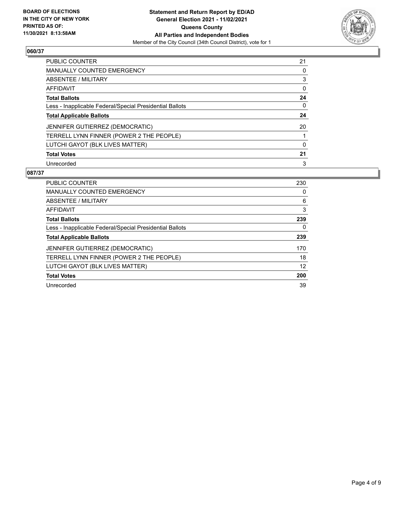

| PUBLIC COUNTER                                           | 21 |
|----------------------------------------------------------|----|
| <b>MANUALLY COUNTED EMERGENCY</b>                        | 0  |
| ABSENTEE / MILITARY                                      | 3  |
| AFFIDAVIT                                                | 0  |
| <b>Total Ballots</b>                                     | 24 |
| Less - Inapplicable Federal/Special Presidential Ballots | 0  |
| <b>Total Applicable Ballots</b>                          | 24 |
| JENNIFER GUTIERREZ (DEMOCRATIC)                          | 20 |
| TERRELL LYNN FINNER (POWER 2 THE PEOPLE)                 |    |
| LUTCHI GAYOT (BLK LIVES MATTER)                          | 0  |
| <b>Total Votes</b>                                       | 21 |
| Unrecorded                                               | 3  |

| <b>PUBLIC COUNTER</b>                                    | 230 |
|----------------------------------------------------------|-----|
| <b>MANUALLY COUNTED EMERGENCY</b>                        | 0   |
| ABSENTEE / MILITARY                                      | 6   |
| AFFIDAVIT                                                | 3   |
| <b>Total Ballots</b>                                     | 239 |
| Less - Inapplicable Federal/Special Presidential Ballots | 0   |
| <b>Total Applicable Ballots</b>                          | 239 |
| <b>JENNIFER GUTIERREZ (DEMOCRATIC)</b>                   | 170 |
| TERRELL LYNN FINNER (POWER 2 THE PEOPLE)                 | 18  |
| LUTCHI GAYOT (BLK LIVES MATTER)                          | 12  |
| <b>Total Votes</b>                                       | 200 |
| Unrecorded                                               | 39  |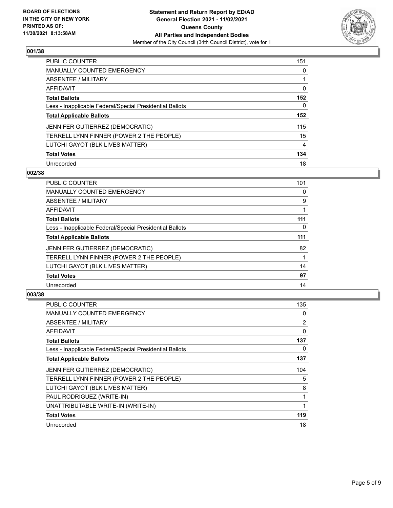

| PUBLIC COUNTER                                           | 151      |
|----------------------------------------------------------|----------|
| <b>MANUALLY COUNTED EMERGENCY</b>                        | $\Omega$ |
| ABSENTEE / MILITARY                                      |          |
| AFFIDAVIT                                                | 0        |
| <b>Total Ballots</b>                                     | 152      |
| Less - Inapplicable Federal/Special Presidential Ballots | 0        |
| <b>Total Applicable Ballots</b>                          | 152      |
| JENNIFER GUTIERREZ (DEMOCRATIC)                          | 115      |
| TERRELL LYNN FINNER (POWER 2 THE PEOPLE)                 | 15       |
| LUTCHI GAYOT (BLK LIVES MATTER)                          | 4        |
| <b>Total Votes</b>                                       | 134      |
| Unrecorded                                               | 18       |

#### **002/38**

| <b>PUBLIC COUNTER</b>                                    | 101      |
|----------------------------------------------------------|----------|
| <b>MANUALLY COUNTED EMERGENCY</b>                        | 0        |
| ABSENTEE / MILITARY                                      | 9        |
| <b>AFFIDAVIT</b>                                         |          |
| <b>Total Ballots</b>                                     | 111      |
| Less - Inapplicable Federal/Special Presidential Ballots | $\Omega$ |
| <b>Total Applicable Ballots</b>                          | 111      |
| JENNIFER GUTIERREZ (DEMOCRATIC)                          | 82       |
| TERRELL LYNN FINNER (POWER 2 THE PEOPLE)                 |          |
| LUTCHI GAYOT (BLK LIVES MATTER)                          | 14       |
| <b>Total Votes</b>                                       | 97       |
| Unrecorded                                               | 14       |

| <b>PUBLIC COUNTER</b>                                    | 135 |
|----------------------------------------------------------|-----|
| <b>MANUALLY COUNTED EMERGENCY</b>                        | 0   |
| ABSENTEE / MILITARY                                      | 2   |
| AFFIDAVIT                                                | 0   |
| <b>Total Ballots</b>                                     | 137 |
| Less - Inapplicable Federal/Special Presidential Ballots | 0   |
| <b>Total Applicable Ballots</b>                          | 137 |
| <b>JENNIFER GUTIERREZ (DEMOCRATIC)</b>                   | 104 |
| TERRELL LYNN FINNER (POWER 2 THE PEOPLE)                 | 5   |
| LUTCHI GAYOT (BLK LIVES MATTER)                          | 8   |
| PAUL RODRIGUEZ (WRITE-IN)                                |     |
| UNATTRIBUTABLE WRITE-IN (WRITE-IN)                       | 1   |
| <b>Total Votes</b>                                       | 119 |
| Unrecorded                                               | 18  |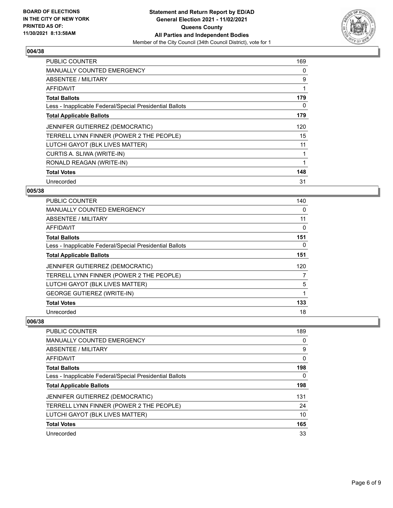

| PUBLIC COUNTER                                           | 169 |
|----------------------------------------------------------|-----|
| <b>MANUALLY COUNTED EMERGENCY</b>                        | 0   |
| ABSENTEE / MILITARY                                      | 9   |
| AFFIDAVIT                                                | 1   |
| <b>Total Ballots</b>                                     | 179 |
| Less - Inapplicable Federal/Special Presidential Ballots | 0   |
| <b>Total Applicable Ballots</b>                          | 179 |
| JENNIFER GUTIERREZ (DEMOCRATIC)                          | 120 |
| TERRELL LYNN FINNER (POWER 2 THE PEOPLE)                 | 15  |
| LUTCHI GAYOT (BLK LIVES MATTER)                          | 11  |
| CURTIS A. SLIWA (WRITE-IN)                               | 1   |
| RONALD REAGAN (WRITE-IN)                                 | 1   |
| <b>Total Votes</b>                                       | 148 |
| Unrecorded                                               | 31  |

## **005/38**

| <b>PUBLIC COUNTER</b>                                    | 140 |
|----------------------------------------------------------|-----|
| <b>MANUALLY COUNTED EMERGENCY</b>                        | 0   |
| ABSENTEE / MILITARY                                      | 11  |
| AFFIDAVIT                                                | 0   |
| <b>Total Ballots</b>                                     | 151 |
| Less - Inapplicable Federal/Special Presidential Ballots | 0   |
| <b>Total Applicable Ballots</b>                          | 151 |
| JENNIFER GUTIERREZ (DEMOCRATIC)                          | 120 |
| TERRELL LYNN FINNER (POWER 2 THE PEOPLE)                 | 7   |
| LUTCHI GAYOT (BLK LIVES MATTER)                          | 5   |
| <b>GEORGE GUTIEREZ (WRITE-IN)</b>                        | 1   |
| <b>Total Votes</b>                                       | 133 |
| Unrecorded                                               | 18  |

| <b>PUBLIC COUNTER</b>                                    | 189      |
|----------------------------------------------------------|----------|
| <b>MANUALLY COUNTED EMERGENCY</b>                        | 0        |
| ABSENTEE / MILITARY                                      | 9        |
| AFFIDAVIT                                                | $\Omega$ |
| <b>Total Ballots</b>                                     | 198      |
| Less - Inapplicable Federal/Special Presidential Ballots | $\Omega$ |
| <b>Total Applicable Ballots</b>                          | 198      |
| JENNIFER GUTIERREZ (DEMOCRATIC)                          | 131      |
| TERRELL LYNN FINNER (POWER 2 THE PEOPLE)                 | 24       |
| LUTCHI GAYOT (BLK LIVES MATTER)                          | 10       |
| <b>Total Votes</b>                                       | 165      |
| Unrecorded                                               | 33       |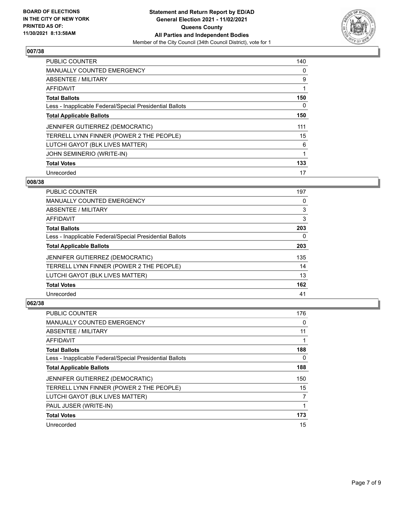

| <b>PUBLIC COUNTER</b>                                    | 140 |
|----------------------------------------------------------|-----|
| <b>MANUALLY COUNTED EMERGENCY</b>                        | 0   |
| ABSENTEE / MILITARY                                      | 9   |
| AFFIDAVIT                                                | 1   |
| <b>Total Ballots</b>                                     | 150 |
| Less - Inapplicable Federal/Special Presidential Ballots | 0   |
| <b>Total Applicable Ballots</b>                          | 150 |
| JENNIFER GUTIERREZ (DEMOCRATIC)                          | 111 |
| TERRELL LYNN FINNER (POWER 2 THE PEOPLE)                 | 15  |
| LUTCHI GAYOT (BLK LIVES MATTER)                          | 6   |
| JOHN SEMINERIO (WRITE-IN)                                |     |
| <b>Total Votes</b>                                       | 133 |
| Unrecorded                                               | 17  |

## **008/38**

| <b>PUBLIC COUNTER</b>                                    | 197      |
|----------------------------------------------------------|----------|
| <b>MANUALLY COUNTED EMERGENCY</b>                        | 0        |
| ABSENTEE / MILITARY                                      | 3        |
| <b>AFFIDAVIT</b>                                         | 3        |
| <b>Total Ballots</b>                                     | 203      |
| Less - Inapplicable Federal/Special Presidential Ballots | $\Omega$ |
| <b>Total Applicable Ballots</b>                          | 203      |
| <b>JENNIFER GUTIERREZ (DEMOCRATIC)</b>                   | 135      |
| TERRELL LYNN FINNER (POWER 2 THE PEOPLE)                 | 14       |
| LUTCHI GAYOT (BLK LIVES MATTER)                          | 13       |
| <b>Total Votes</b>                                       | 162      |
| Unrecorded                                               | 41       |

| <b>PUBLIC COUNTER</b>                                    | 176      |
|----------------------------------------------------------|----------|
| MANUALLY COUNTED EMERGENCY                               | 0        |
| ABSENTEE / MILITARY                                      | 11       |
| AFFIDAVIT                                                |          |
| <b>Total Ballots</b>                                     | 188      |
| Less - Inapplicable Federal/Special Presidential Ballots | $\Omega$ |
| <b>Total Applicable Ballots</b>                          | 188      |
| JENNIFER GUTIERREZ (DEMOCRATIC)                          | 150      |
| TERRELL LYNN FINNER (POWER 2 THE PEOPLE)                 | 15       |
| LUTCHI GAYOT (BLK LIVES MATTER)                          | 7        |
| PAUL JUSER (WRITE-IN)                                    |          |
| <b>Total Votes</b>                                       | 173      |
| Unrecorded                                               | 15       |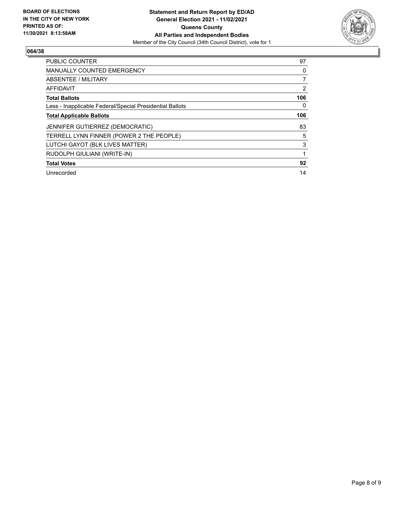

| PUBLIC COUNTER                                           | 97  |
|----------------------------------------------------------|-----|
| <b>MANUALLY COUNTED EMERGENCY</b>                        | 0   |
| ABSENTEE / MILITARY                                      | 7   |
| <b>AFFIDAVIT</b>                                         | 2   |
| <b>Total Ballots</b>                                     | 106 |
| Less - Inapplicable Federal/Special Presidential Ballots | 0   |
| <b>Total Applicable Ballots</b>                          | 106 |
| <b>JENNIFER GUTIERREZ (DEMOCRATIC)</b>                   | 83  |
| TERRELL LYNN FINNER (POWER 2 THE PEOPLE)                 | 5   |
| LUTCHI GAYOT (BLK LIVES MATTER)                          | 3   |
| RUDOLPH GIULIANI (WRITE-IN)                              | 1   |
| <b>Total Votes</b>                                       | 92  |
| Unrecorded                                               | 14  |